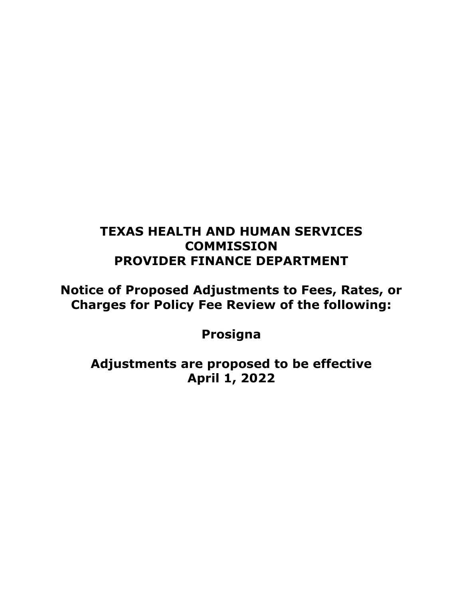# **TEXAS HEALTH AND HUMAN SERVICES COMMISSION PROVIDER FINANCE DEPARTMENT**

**Notice of Proposed Adjustments to Fees, Rates, or Charges for Policy Fee Review of the following:**

**Prosigna**

**Adjustments are proposed to be effective April 1, 2022**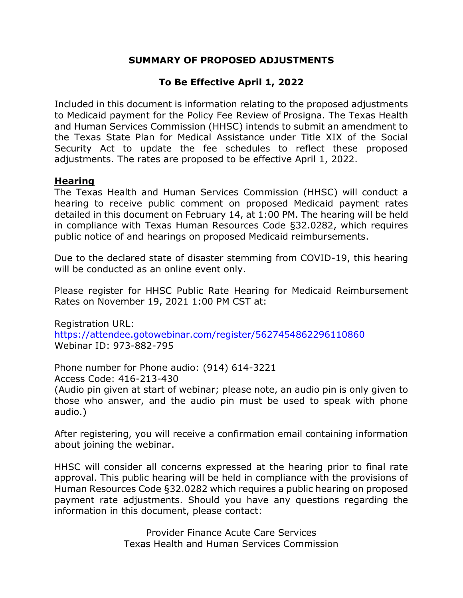### **SUMMARY OF PROPOSED ADJUSTMENTS**

## **To Be Effective April 1, 2022**

Included in this document is information relating to the proposed adjustments to Medicaid payment for the Policy Fee Review of Prosigna. The Texas Health and Human Services Commission (HHSC) intends to submit an amendment to the Texas State Plan for Medical Assistance under Title XIX of the Social Security Act to update the fee schedules to reflect these proposed adjustments. The rates are proposed to be effective April 1, 2022.

#### **Hearing**

The Texas Health and Human Services Commission (HHSC) will conduct a hearing to receive public comment on proposed Medicaid payment rates detailed in this document on February 14, at 1:00 PM. The hearing will be held in compliance with Texas Human Resources Code §32.0282, which requires public notice of and hearings on proposed Medicaid reimbursements.

Due to the declared state of disaster stemming from COVID-19, this hearing will be conducted as an online event only.

Please register for HHSC Public Rate Hearing for Medicaid Reimbursement Rates on November 19, 2021 1:00 PM CST at:

Registration URL: <https://attendee.gotowebinar.com/register/5627454862296110860> Webinar ID: 973-882-795

Phone number for Phone audio: (914) 614-3221 Access Code: 416-213-430

(Audio pin given at start of webinar; please note, an audio pin is only given to those who answer, and the audio pin must be used to speak with phone audio.)

After registering, you will receive a confirmation email containing information about joining the webinar.

HHSC will consider all concerns expressed at the hearing prior to final rate approval. This public hearing will be held in compliance with the provisions of Human Resources Code §32.0282 which requires a public hearing on proposed payment rate adjustments. Should you have any questions regarding the information in this document, please contact:

> Provider Finance Acute Care Services Texas Health and Human Services Commission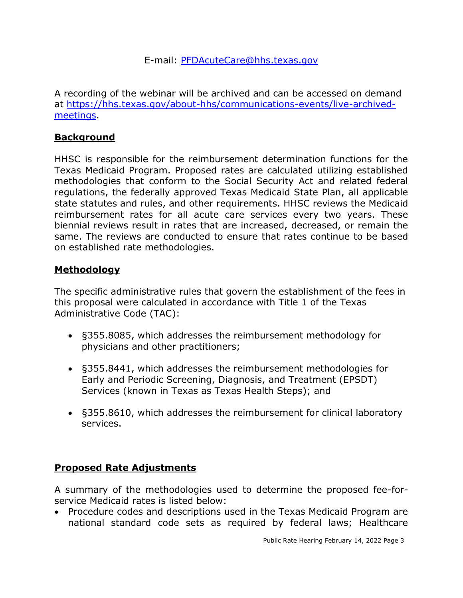E-mail: [PFDAcuteCare@hhs.texas.gov](mailto:PFDAcuteCare@hhs.texas.gov)

A recording of the webinar will be archived and can be accessed on demand at [https://hhs.texas.gov/about-hhs/communications-events/live-archived](https://hhs.texas.gov/about-hhs/communications-events/live-archived-meetings)[meetings.](https://hhs.texas.gov/about-hhs/communications-events/live-archived-meetings)

#### **Background**

HHSC is responsible for the reimbursement determination functions for the Texas Medicaid Program. Proposed rates are calculated utilizing established methodologies that conform to the Social Security Act and related federal regulations, the federally approved Texas Medicaid State Plan, all applicable state statutes and rules, and other requirements. HHSC reviews the Medicaid reimbursement rates for all acute care services every two years. These biennial reviews result in rates that are increased, decreased, or remain the same. The reviews are conducted to ensure that rates continue to be based on established rate methodologies.

#### **Methodology**

The specific administrative rules that govern the establishment of the fees in this proposal were calculated in accordance with Title 1 of the Texas Administrative Code (TAC):

- §355.8085, which addresses the reimbursement methodology for physicians and other practitioners;
- §355.8441, which addresses the reimbursement methodologies for Early and Periodic Screening, Diagnosis, and Treatment (EPSDT) Services (known in Texas as Texas Health Steps); and
- §355.8610, which addresses the reimbursement for clinical laboratory services.

#### **Proposed Rate Adjustments**

A summary of the methodologies used to determine the proposed fee-forservice Medicaid rates is listed below:

• Procedure codes and descriptions used in the Texas Medicaid Program are national standard code sets as required by federal laws; Healthcare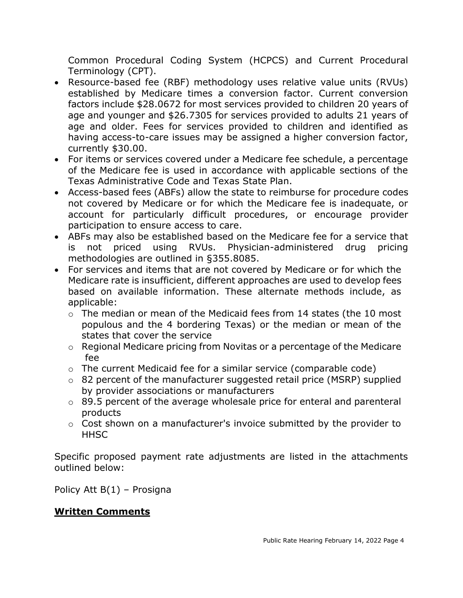Common Procedural Coding System (HCPCS) and Current Procedural Terminology (CPT).

- Resource-based fee (RBF) methodology uses relative value units (RVUs) established by Medicare times a conversion factor. Current conversion factors include \$28.0672 for most services provided to children 20 years of age and younger and \$26.7305 for services provided to adults 21 years of age and older. Fees for services provided to children and identified as having access-to-care issues may be assigned a higher conversion factor, currently \$30.00.
- For items or services covered under a Medicare fee schedule, a percentage of the Medicare fee is used in accordance with applicable sections of the Texas Administrative Code and Texas State Plan.
- Access-based fees (ABFs) allow the state to reimburse for procedure codes not covered by Medicare or for which the Medicare fee is inadequate, or account for particularly difficult procedures, or encourage provider participation to ensure access to care.
- ABFs may also be established based on the Medicare fee for a service that is not priced using RVUs. Physician-administered drug pricing methodologies are outlined in §355.8085.
- For services and items that are not covered by Medicare or for which the Medicare rate is insufficient, different approaches are used to develop fees based on available information. These alternate methods include, as applicable:
	- $\circ$  The median or mean of the Medicaid fees from 14 states (the 10 most populous and the 4 bordering Texas) or the median or mean of the states that cover the service
	- o Regional Medicare pricing from Novitas or a percentage of the Medicare fee
	- o The current Medicaid fee for a similar service (comparable code)
	- o 82 percent of the manufacturer suggested retail price (MSRP) supplied by provider associations or manufacturers
	- o 89.5 percent of the average wholesale price for enteral and parenteral products
	- o Cost shown on a manufacturer's invoice submitted by the provider to **HHSC**

Specific proposed payment rate adjustments are listed in the attachments outlined below:

Policy Att B(1) – Prosigna

#### **Written Comments**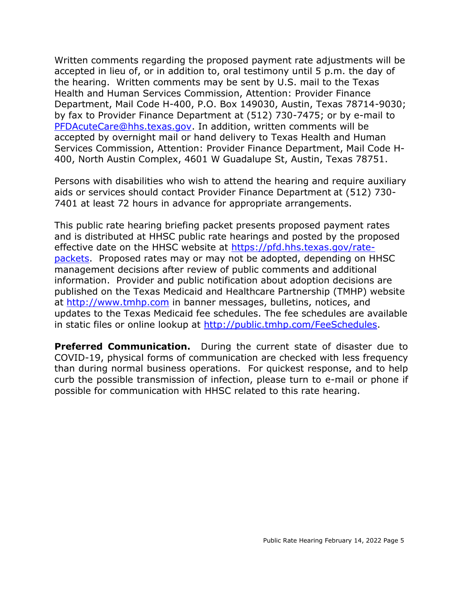Written comments regarding the proposed payment rate adjustments will be accepted in lieu of, or in addition to, oral testimony until 5 p.m. the day of the hearing. Written comments may be sent by U.S. mail to the Texas Health and Human Services Commission, Attention: Provider Finance Department, Mail Code H-400, P.O. Box 149030, Austin, Texas 78714-9030; by fax to Provider Finance Department at (512) 730-7475; or by e-mail to [PFDAcuteCare@hhs.texas.gov.](mailto:PFDAcuteCare@hhs.texas.gov) In addition, written comments will be accepted by overnight mail or hand delivery to Texas Health and Human Services Commission, Attention: Provider Finance Department, Mail Code H-400, North Austin Complex, 4601 W Guadalupe St, Austin, Texas 78751.

Persons with disabilities who wish to attend the hearing and require auxiliary aids or services should contact Provider Finance Department at (512) 730- 7401 at least 72 hours in advance for appropriate arrangements.

This public rate hearing briefing packet presents proposed payment rates and is distributed at HHSC public rate hearings and posted by the proposed effective date on the HHSC website at [https://pfd.hhs.texas.gov/rate](https://pfd.hhs.texas.gov/rate-packets)[packets.](https://pfd.hhs.texas.gov/rate-packets) Proposed rates may or may not be adopted, depending on HHSC management decisions after review of public comments and additional information. Provider and public notification about adoption decisions are published on the Texas Medicaid and Healthcare Partnership (TMHP) website at [http://www.tmhp.com](http://www.tmhp.com/) in banner messages, bulletins, notices, and updates to the Texas Medicaid fee schedules. The fee schedules are available in static files or online lookup at [http://public.tmhp.com/FeeSchedules.](http://public.tmhp.com/FeeSchedules)

**Preferred Communication.** During the current state of disaster due to COVID-19, physical forms of communication are checked with less frequency than during normal business operations. For quickest response, and to help curb the possible transmission of infection, please turn to e-mail or phone if possible for communication with HHSC related to this rate hearing.